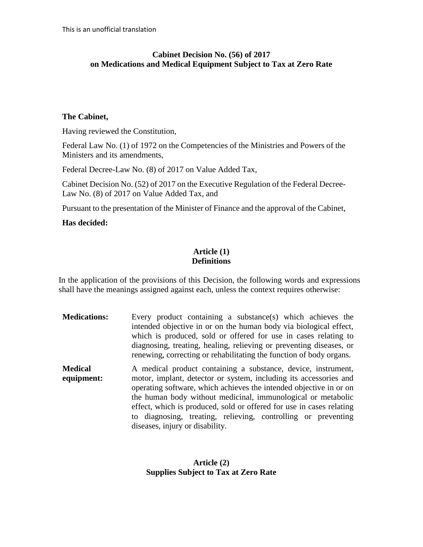# **Cabinet Decision No. (56) of 2017 on Medications and Medical Equipment Subject to Tax at Zero Rate**

#### **The Cabinet,**

Having reviewed the Constitution,

Federal Law No. (1) of 1972 on the Competencies of the Ministries and Powers of the Ministers and its amendments,

Federal Decree-Law No. (8) of 2017 on Value Added Tax,

Cabinet Decision No. (52) of 2017 on the Executive Regulation of the Federal Decree-Law No. (8) of 2017 on Value Added Tax, and

Pursuant to the presentation of the Minister of Finance and the approval of the Cabinet,

# **Has decided:**

## **Article (1) Definitions**

In the application of the provisions of this Decision, the following words and expressions shall have the meanings assigned against each, unless the context requires otherwise:

**Medications:** Every product containing a substance(s) which achieves the intended objective in or on the human body via biological effect, which is produced, sold or offered for use in cases relating to diagnosing, treating, healing, relieving or preventing diseases, or renewing, correcting or rehabilitating the function of body organs. **Medical equipment:** A medical product containing a substance, device, instrument, motor, implant, detector or system, including its accessories and operating software, which achieves the intended objective in or on the human body without medicinal, immunological or metabolic effect, which is produced, sold or offered for use in cases relating to diagnosing, treating, relieving, controlling or preventing diseases, injury or disability.

# **Article (2) Supplies Subject to Tax at Zero Rate**